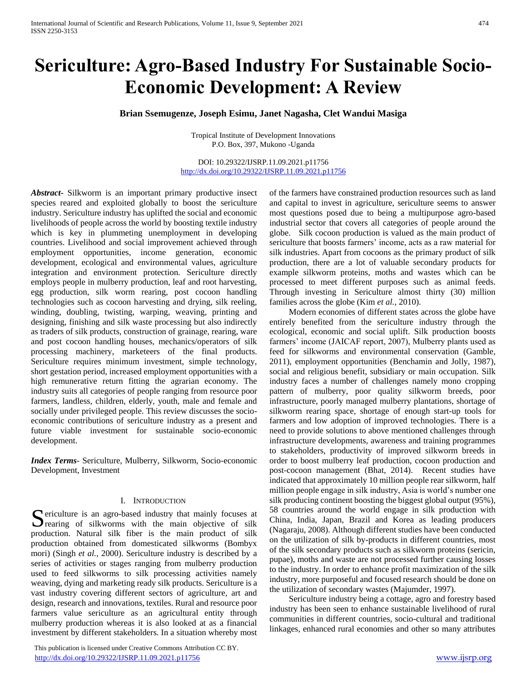# **Sericulture: Agro-Based Industry For Sustainable Socio-Economic Development: A Review**

# **Brian Ssemugenze, Joseph Esimu, Janet Nagasha, Clet Wandui Masiga**

Tropical Institute of Development Innovations P.O. Box, 397, Mukono -Uganda

## DOI: 10.29322/IJSRP.11.09.2021.p11756 <http://dx.doi.org/10.29322/IJSRP.11.09.2021.p11756>

*Abstract***-** Silkworm is an important primary productive insect species reared and exploited globally to boost the sericulture industry. Sericulture industry has uplifted the social and economic livelihoods of people across the world by boosting textile industry which is key in plummeting unemployment in developing countries. Livelihood and social improvement achieved through employment opportunities, income generation, economic development, ecological and environmental values, agriculture integration and environment protection. Sericulture directly employs people in mulberry production, leaf and root harvesting, egg production, silk worm rearing, post cocoon handling technologies such as cocoon harvesting and drying, silk reeling, winding, doubling, twisting, warping, weaving, printing and designing, finishing and silk waste processing but also indirectly as traders of silk products, construction of grainage, rearing, ware and post cocoon handling houses, mechanics/operators of silk processing machinery, marketeers of the final products. Sericulture requires minimum investment, simple technology, short gestation period, increased employment opportunities with a high remunerative return fitting the agrarian economy. The industry suits all categories of people ranging from resource poor farmers, landless, children, elderly, youth, male and female and socially under privileged people. This review discusses the socioeconomic contributions of sericulture industry as a present and future viable investment for sustainable socio-economic development.

*Index Terms*- Sericulture, Mulberry, Silkworm, Socio-economic Development, Investment

#### I. INTRODUCTION

ericulture is an agro-based industry that mainly focuses at Sericulture is an agro-based industry that mainly focuses at rearing of silkworms with the main objective of silk production. Natural silk fiber is the main product of silk production obtained from domesticated silkworms (Bombyx mori) (Singh *et al.,* 2000). Sericulture industry is described by a series of activities or stages ranging from mulberry production used to feed silkworms to silk processing activities namely weaving, dying and marketing ready silk products. Sericulture is a vast industry covering different sectors of agriculture, art and design, research and innovations, textiles. Rural and resource poor farmers value sericulture as an agricultural entity through mulberry production whereas it is also looked at as a financial investment by different stakeholders. In a situation whereby most

 This publication is licensed under Creative Commons Attribution CC BY. <http://dx.doi.org/10.29322/IJSRP.11.09.2021.p11756> [www.ijsrp.org](http://ijsrp.org/)

of the farmers have constrained production resources such as land and capital to invest in agriculture, sericulture seems to answer most questions posed due to being a multipurpose agro-based industrial sector that covers all categories of people around the globe. Silk cocoon production is valued as the main product of sericulture that boosts farmers' income, acts as a raw material for silk industries. Apart from cocoons as the primary product of silk production, there are a lot of valuable secondary products for example silkworm proteins, moths and wastes which can be processed to meet different purposes such as animal feeds. Through investing in Sericulture almost thirty (30) million families across the globe (Kim *et al.,* 2010).

 Modern economies of different states across the globe have entirely benefited from the sericulture industry through the ecological, economic and social uplift. Silk production boosts farmers' income (JAICAF report, 2007), Mulberry plants used as feed for silkworms and environmental conservation (Gamble, 2011), employment opportunities (Benchamin and Jolly, 1987), social and religious benefit, subsidiary or main occupation. Silk industry faces a number of challenges namely mono cropping pattern of mulberry, poor quality silkworm breeds, poor infrastructure, poorly managed mulberry plantations, shortage of silkworm rearing space, shortage of enough start-up tools for farmers and low adoption of improved technologies. There is a need to provide solutions to above mentioned challenges through infrastructure developments, awareness and training programmes to stakeholders, productivity of improved silkworm breeds in order to boost mulberry leaf production, cocoon production and post-cocoon management (Bhat, 2014). Recent studies have indicated that approximately 10 million people rear silkworm, half million people engage in silk industry, Asia is world's number one silk producing continent boosting the biggest global output (95%), 58 countries around the world engage in silk production with China, India, Japan, Brazil and Korea as leading producers (Nagaraju, 2008). Although different studies have been conducted on the utilization of silk by-products in different countries, most of the silk secondary products such as silkworm proteins (sericin, pupae), moths and waste are not processed further causing losses to the industry. In order to enhance profit maximization of the silk industry, more purposeful and focused research should be done on the utilization of secondary wastes (Majumder, 1997).

 Sericulture industry being a cottage, agro and forestry based industry has been seen to enhance sustainable livelihood of rural communities in different countries, socio-cultural and traditional linkages, enhanced rural economies and other so many attributes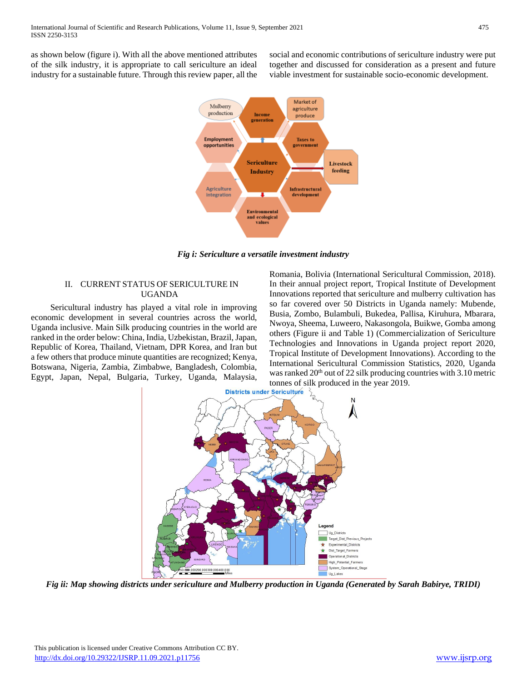as shown below (figure i). With all the above mentioned attributes of the silk industry, it is appropriate to call sericulture an ideal industry for a sustainable future. Through this review paper, all the social and economic contributions of sericulture industry were put together and discussed for consideration as a present and future viable investment for sustainable socio-economic development.



*Fig i: Sericulture a versatile investment industry*

# II. CURRENT STATUS OF SERICULTURE IN UGANDA

 Sericultural industry has played a vital role in improving economic development in several countries across the world, Uganda inclusive. Main Silk producing countries in the world are ranked in the order below: China, India, Uzbekistan, Brazil, Japan, Republic of Korea, Thailand, Vietnam, DPR Korea, and Iran but a few others that produce minute quantities are recognized; Kenya, Botswana, Nigeria, Zambia, Zimbabwe, Bangladesh, Colombia, Egypt, Japan, Nepal, Bulgaria, Turkey, Uganda, Malaysia,

Romania, Bolivia (International Sericultural Commission, 2018). In their annual project report, Tropical Institute of Development Innovations reported that sericulture and mulberry cultivation has so far covered over 50 Districts in Uganda namely: Mubende, Busia, Zombo, Bulambuli, Bukedea, Pallisa, Kiruhura, Mbarara, Nwoya, Sheema, Luweero, Nakasongola, Buikwe, Gomba among others (Figure ii and Table 1) (Commercialization of Sericulture Technologies and Innovations in Uganda project report 2020, Tropical Institute of Development Innovations). According to the International Sericultural Commission Statistics, 2020, Uganda was ranked 20<sup>th</sup> out of 22 silk producing countries with 3.10 metric tonnes of silk produced in the year 2019.<br>Districts under Sericulture  $\frac{1}{2}$ 



*Fig ii: Map showing districts under sericulture and Mulberry production in Uganda (Generated by Sarah Babirye, TRIDI)*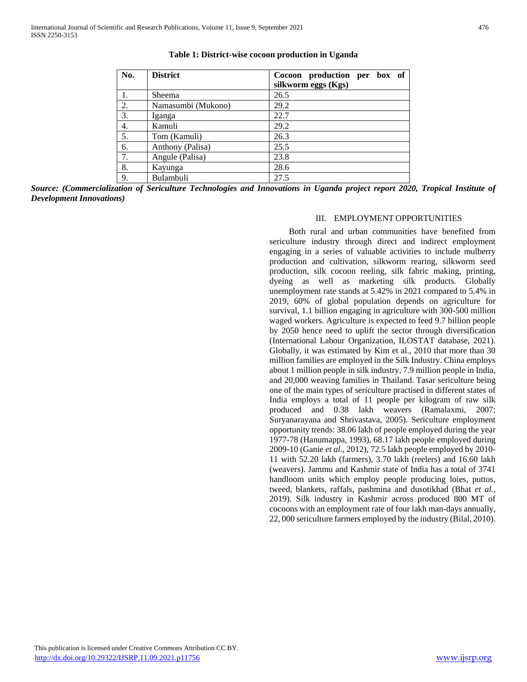| No. | <b>District</b>    | Cocoon production per box of |
|-----|--------------------|------------------------------|
|     |                    | silkworm eggs (Kgs)          |
| 1.  | Sheema             | 26.5                         |
| 2.  | Namasumbi (Mukono) | 29.2                         |
| 3.  | Iganga             | 22.7                         |
| 4.  | Kamuli             | 29.2                         |
| 5.  | Tom (Kamuli)       | 26.3                         |
| 6.  | Anthony (Palisa)   | 25.5                         |
| 7.  | Angule (Palisa)    | 23.8                         |
| 8.  | Kayunga            | 28.6                         |
| 9.  | Bulambuli          | 27.5                         |

**Table 1: District-wise cocoon production in Uganda**

*Source: (Commercialization of Sericulture Technologies and Innovations in Uganda project report 2020, Tropical Institute of Development Innovations)*

#### III. EMPLOYMENT OPPORTUNITIES

 Both rural and urban communities have benefited from sericulture industry through direct and indirect employment engaging in a series of valuable activities to include mulberry production and cultivation, silkworm rearing, silkworm seed production, silk cocoon reeling, silk fabric making, printing, dyeing as well as marketing silk products. Globally unemployment rate stands at 5.42% in 2021 compared to 5.4% in 2019, 60% of global population depends on agriculture for survival, 1.1 billion engaging in agriculture with 300-500 million waged workers. Agriculture is expected to feed 9.7 billion people by 2050 hence need to uplift the sector through diversification (International Labour Organization, ILOSTAT database, 2021). Globally, it was estimated by Kim et al., 2010 that more than 30 million families are employed in the Silk Industry. China employs about 1 million people in silk industry, 7.9 million people in India, and 20,000 weaving families in Thailand. Tasar sericulture being one of the main types of sericulture practised in different states of India employs a total of 11 people per kilogram of raw silk produced and 0.38 lakh weavers (Ramalaxmi, 2007; Suryanarayana and Shrivastava, 2005). Sericulture employment opportunity trends: 38.06 lakh of people employed during the year 1977-78 (Hanumappa, 1993), 68.17 lakh people employed during 2009-10 (Ganie *et al.,* 2012), 72.5 lakh people employed by 2010- 11 with 52.20 lakh (farmers), 3.70 lakh (reelers) and 16.60 lakh (weavers). Jammu and Kashmir state of India has a total of 3741 handloom units which employ people producing loies, puttos, tweed, blankets, raffals, pashmina and dusotikhad (Bhat *et al.,* 2019). Silk industry in Kashmir across produced 800 MT of cocoons with an employment rate of four lakh man-days annually, 22, 000 sericulture farmers employed by the industry (Bilal, 2010).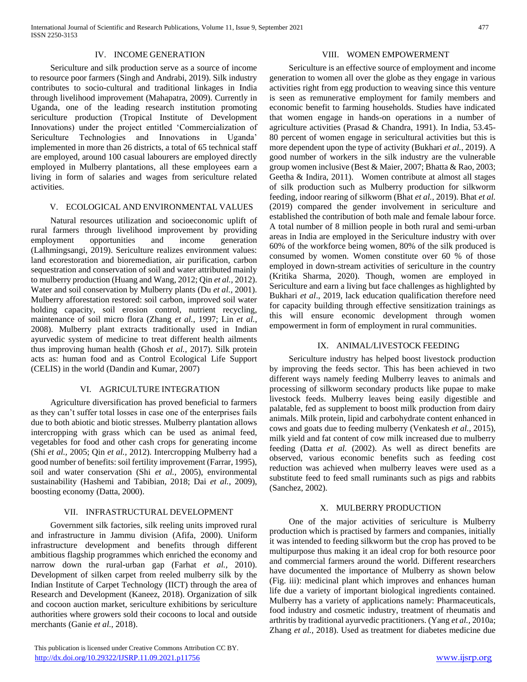#### IV. INCOME GENERATION

 Sericulture and silk production serve as a source of income to resource poor farmers (Singh and Andrabi, 2019). Silk industry contributes to socio-cultural and traditional linkages in India through livelihood improvement (Mahapatra, 2009). Currently in Uganda, one of the leading research institution promoting sericulture production (Tropical Institute of Development Innovations) under the project entitled 'Commercialization of Sericulture Technologies and Innovations in Uganda' implemented in more than 26 districts, a total of 65 technical staff are employed, around 100 casual labourers are employed directly employed in Mulberry plantations, all these employees earn a living in form of salaries and wages from sericulture related activities.

#### V. ECOLOGICAL AND ENVIRONMENTAL VALUES

 Natural resources utilization and socioeconomic uplift of rural farmers through livelihood improvement by providing employment opportunities and income generation (Lalhmingsangi, 2019). Sericulture realizes environment values: land ecorestoration and bioremediation, air purification, carbon sequestration and conservation of soil and water attributed mainly to mulberry production (Huang and Wang, 2012; Qin *et al.,* 2012). Water and soil conservation by Mulberry plants (Du *et al.,* 2001). Mulberry afforestation restored: soil carbon, improved soil water holding capacity, soil erosion control, nutrient recycling, maintenance of soil micro flora (Zhang *et al.,* 1997; Lin *et al.,* 2008). Mulberry plant extracts traditionally used in Indian ayurvedic system of medicine to treat different health ailments thus improving human health (Ghosh *et al.,* 2017). Silk protein acts as: human food and as Control Ecological Life Support (CELIS) in the world (Dandin and Kumar, 2007)

## VI. AGRICULTURE INTEGRATION

 Agriculture diversification has proved beneficial to farmers as they can't suffer total losses in case one of the enterprises fails due to both abiotic and biotic stresses. Mulberry plantation allows intercropping with grass which can be used as animal feed, vegetables for food and other cash crops for generating income (Shi *et al.,* 2005; Qin *et al.,* 2012). Intercropping Mulberry had a good number of benefits: soil fertility improvement (Farrar, 1995), soil and water conservation (Shi *et al.,* 2005), environmental sustainability (Hashemi and Tabibian, 2018; Dai *et al.,* 2009), boosting economy (Datta, 2000).

#### VII. INFRASTRUCTURAL DEVELOPMENT

 Government silk factories, silk reeling units improved rural and infrastructure in Jammu division (Afifa, 2000). Uniform infrastructure development and benefits through different ambitious flagship programmes which enriched the economy and narrow down the rural-urban gap (Farhat *et al.,* 2010). Development of silken carpet from reeled mulberry silk by the Indian Institute of Carpet Technology (IICT) through the area of Research and Development (Kaneez, 2018). Organization of silk and cocoon auction market, sericulture exhibitions by sericulture authorities where growers sold their cocoons to local and outside merchants (Ganie *et al.,* 2018).

#### VIII. WOMEN EMPOWERMENT

 Sericulture is an effective source of employment and income generation to women all over the globe as they engage in various activities right from egg production to weaving since this venture is seen as remunerative employment for family members and economic benefit to farming households. Studies have indicated that women engage in hands-on operations in a number of agriculture activities (Prasad & Chandra, 1991). In India, 53.45- 80 percent of women engage in sericultural activities but this is more dependent upon the type of activity (Bukhari *et al.,* 2019). A good number of workers in the silk industry are the vulnerable group women inclusive (Best & Maier, 2007; Bhatta & Rao, 2003; Geetha & Indira, 2011). Women contribute at almost all stages of silk production such as Mulberry production for silkworm feeding, indoor rearing of silkworm (Bhat *et al.,* 2019). Bhat *et al.* (2019) compared the gender involvement in sericulture and established the contribution of both male and female labour force. A total number of 8 million people in both rural and semi-urban areas in India are employed in the Sericulture industry with over 60% of the workforce being women, 80% of the silk produced is consumed by women. Women constitute over 60 % of those employed in down-stream activities of sericulture in the country (Kritika Sharma, 2020). Though, women are employed in Sericulture and earn a living but face challenges as highlighted by Bukhari *et al*., 2019, lack education qualification therefore need for capacity building through effective sensitization trainings as this will ensure economic development through women empowerment in form of employment in rural communities.

## IX. ANIMAL/LIVESTOCK FEEDING

 Sericulture industry has helped boost livestock production by improving the feeds sector. This has been achieved in two different ways namely feeding Mulberry leaves to animals and processing of silkworm secondary products like pupae to make livestock feeds. Mulberry leaves being easily digestible and palatable, fed as supplement to boost milk production from dairy animals. Milk protein, lipid and carbohydrate content enhanced in cows and goats due to feeding mulberry (Venkatesh *et al.,* 2015), milk yield and fat content of cow milk increased due to mulberry feeding (Datta *et al.* (2002). As well as direct benefits are observed, various economic benefits such as feeding cost reduction was achieved when mulberry leaves were used as a substitute feed to feed small ruminants such as pigs and rabbits (Sanchez, 2002).

#### X. MULBERRY PRODUCTION

 One of the major activities of sericulture is Mulberry production which is practised by farmers and companies, initially it was intended to feeding silkworm but the crop has proved to be multipurpose thus making it an ideal crop for both resource poor and commercial farmers around the world. Different researchers have documented the importance of Mulberry as shown below (Fig. iii): medicinal plant which improves and enhances human life due a variety of important biological ingredients contained. Mulberry has a variety of applications namely: Pharmaceuticals, food industry and cosmetic industry, treatment of rheumatis and arthritis by traditional ayurvedic practitioners. (Yang *et al.,* 2010a; Zhang *et al.,* 2018). Used as treatment for diabetes medicine due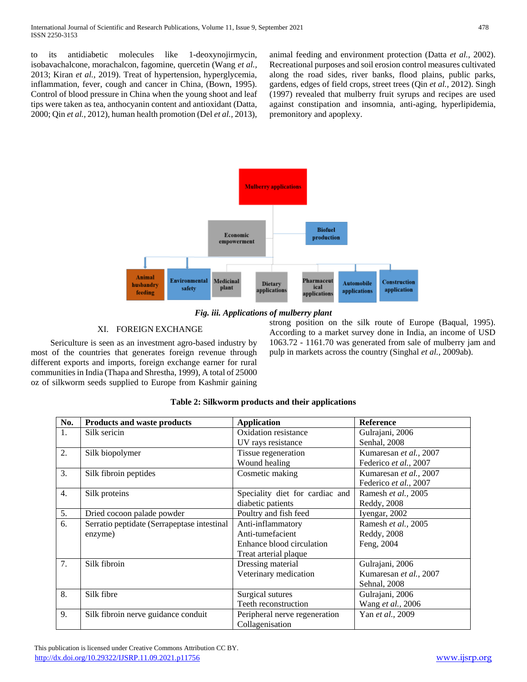to its antidiabetic molecules like 1-deoxynojirmycin, isobavachalcone, morachalcon, fagomine, quercetin (Wang *et al.,* 2013; Kiran *et al.,* 2019). Treat of hypertension, hyperglycemia, inflammation, fever, cough and cancer in China, (Bown, 1995). Control of blood pressure in China when the young shoot and leaf tips were taken as tea, anthocyanin content and antioxidant (Datta, 2000; Qin *et al.,* 2012), human health promotion (Del *et al.,* 2013),

animal feeding and environment protection (Datta *et al.,* 2002). Recreational purposes and soil erosion control measures cultivated along the road sides, river banks, flood plains, public parks, gardens, edges of field crops, street trees (Qin *et al.,* 2012). Singh (1997) revealed that mulberry fruit syrups and recipes are used against constipation and insomnia, anti-aging, hyperlipidemia, premonitory and apoplexy.



*Fig. iii. Applications of mulberry plant*

# XI. FOREIGN EXCHANGE

 Sericulture is seen as an investment agro-based industry by most of the countries that generates foreign revenue through different exports and imports, foreign exchange earner for rural communities in India (Thapa and Shrestha, 1999), A total of 25000 oz of silkworm seeds supplied to Europe from Kashmir gaining

strong position on the silk route of Europe (Baqual, 1995). According to a market survey done in India, an income of USD 1063.72 - 1161.70 was generated from sale of mulberry jam and pulp in markets across the country (Singhal *et al.,* 2009ab).

| No. | <b>Products and waste products</b>          | <b>Application</b>              | <b>Reference</b>       |
|-----|---------------------------------------------|---------------------------------|------------------------|
| 1.  | Silk sericin                                | Oxidation resistance            | Gulrajani, 2006        |
|     |                                             | UV rays resistance              | Senhal, 2008           |
| 2.  | Silk biopolymer                             | Tissue regeneration             | Kumaresan et al., 2007 |
|     |                                             | Wound healing                   | Federico et al., 2007  |
| 3.  | Silk fibroin peptides                       | Cosmetic making                 | Kumaresan et al., 2007 |
|     |                                             |                                 | Federico et al., 2007  |
| 4.  | Silk proteins                               | Speciality diet for cardiac and | Ramesh et al., 2005    |
|     |                                             | diabetic patients               | Reddy, 2008            |
| 5.  | Dried cocoon palade powder                  | Poultry and fish feed           | Iyengar, 2002          |
| 6.  | Serratio peptidate (Serrapeptase intestinal | Anti-inflammatory               | Ramesh et al., 2005    |
|     | enzyme)                                     | Anti-tumefacient                | Reddy, 2008            |
|     |                                             | Enhance blood circulation       | Feng, 2004             |
|     |                                             | Treat arterial plaque           |                        |
| 7.  | Silk fibroin                                | Dressing material               | Gulrajani, 2006        |
|     |                                             | Veterinary medication           | Kumaresan et al., 2007 |
|     |                                             |                                 | Sehnal, 2008           |
| 8.  | Silk fibre                                  | Surgical sutures                | Gulrajani, 2006        |
|     |                                             | Teeth reconstruction            | Wang et al., 2006      |
| 9.  | Silk fibroin nerve guidance conduit         | Peripheral nerve regeneration   | Yan et al., 2009       |
|     |                                             | Collagenisation                 |                        |

# **Table 2: Silkworm products and their applications**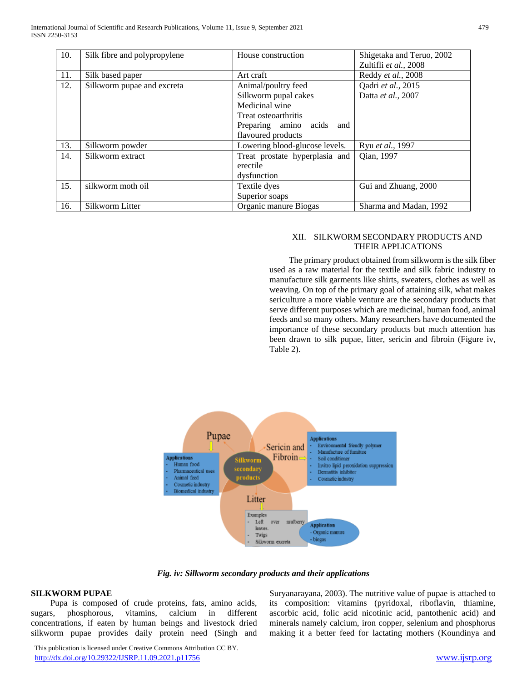| 10. | Silk fibre and polypropylene | House construction             | Shigetaka and Teruo, 2002 |
|-----|------------------------------|--------------------------------|---------------------------|
|     |                              |                                | Zultifli et al., 2008     |
| 11. | Silk based paper             | Art craft                      | Reddy et al., 2008        |
| 12. | Silkworm pupae and excreta   | Animal/poultry feed            | Qadri et al., 2015        |
|     |                              | Silkworm pupal cakes           | Datta et al., 2007        |
|     |                              | Medicinal wine                 |                           |
|     |                              | Treat osteoarthritis           |                           |
|     |                              | Preparing amino acids<br>and   |                           |
|     |                              | flavoured products             |                           |
| 13. | Silkworm powder              | Lowering blood-glucose levels. | Ryu et al., 1997          |
| 14. | Silkworm extract             | Treat prostate hyperplasia and | Qian, 1997                |
|     |                              | erectile                       |                           |
|     |                              | dysfunction                    |                           |
| 15. | silkworm moth oil            | Textile dyes                   | Gui and Zhuang, 2000      |
|     |                              | Superior soaps                 |                           |
| 16. | Silkworm Litter              | Organic manure Biogas          | Sharma and Madan, 1992    |

## XII. SILKWORM SECONDARY PRODUCTS AND THEIR APPLICATIONS

 The primary product obtained from silkworm is the silk fiber used as a raw material for the textile and silk fabric industry to manufacture silk garments like shirts, sweaters, clothes as well as weaving. On top of the primary goal of attaining silk, what makes sericulture a more viable venture are the secondary products that serve different purposes which are medicinal, human food, animal feeds and so many others. Many researchers have documented the importance of these secondary products but much attention has been drawn to silk pupae, litter, sericin and fibroin (Figure iv, Table 2).



*Fig. iv: Silkworm secondary products and their applications*

## **SILKWORM PUPAE**

 Pupa is composed of crude proteins, fats, amino acids, sugars, phosphorous, vitamins, calcium in different concentrations, if eaten by human beings and livestock dried silkworm pupae provides daily protein need (Singh and

Suryanarayana, 2003). The nutritive value of pupae is attached to its composition: vitamins (pyridoxal, riboflavin, thiamine, ascorbic acid, folic acid nicotinic acid, pantothenic acid) and minerals namely calcium, iron copper, selenium and phosphorus making it a better feed for lactating mothers (Koundinya and

 This publication is licensed under Creative Commons Attribution CC BY. <http://dx.doi.org/10.29322/IJSRP.11.09.2021.p11756> [www.ijsrp.org](http://ijsrp.org/)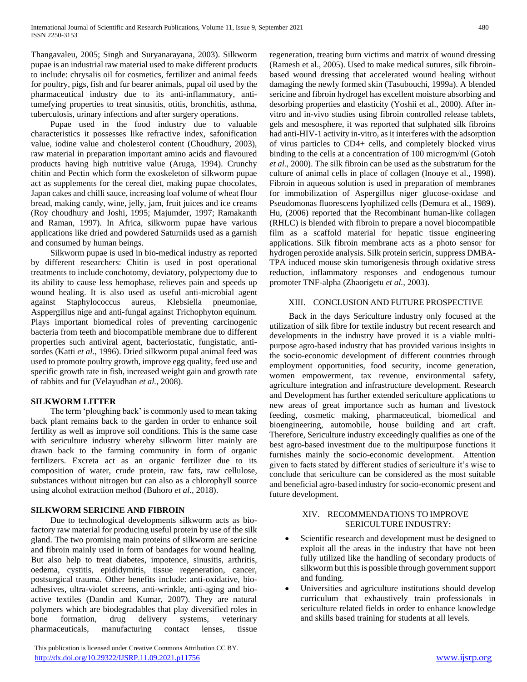Thangavaleu, 2005; Singh and Suryanarayana, 2003). Silkworm pupae is an industrial raw material used to make different products to include: chrysalis oil for cosmetics, fertilizer and animal feeds for poultry, pigs, fish and fur bearer animals, pupal oil used by the pharmaceutical industry due to its anti-inflammatory, antitumefying properties to treat sinusitis, otitis, bronchitis, asthma, tuberculosis, urinary infections and after surgery operations.

 Pupae used in the food industry due to valuable characteristics it possesses like refractive index, safonification value, iodine value and cholesterol content (Choudhury, 2003), raw material in preparation important amino acids and flavoured products having high nutritive value (Aruga, 1994). Crunchy chitin and Pectin which form the exoskeleton of silkworm pupae act as supplements for the cereal diet, making pupae chocolates, Japan cakes and chilli sauce, increasing loaf volume of wheat flour bread, making candy, wine, jelly, jam, fruit juices and ice creams (Roy choudhury and Joshi, 1995; Majumder, 1997; Ramakanth and Raman, 1997). In Africa, silkworm pupae have various applications like dried and powdered Saturniids used as a garnish and consumed by human beings.

 Silkworm pupae is used in bio-medical industry as reported by different researchers: Chitin is used in post operational treatments to include conchotomy, deviatory, polypectomy due to its ability to cause less hemophase, relieves pain and speeds up wound healing. It is also used as useful anti-microbial agent against Staphylococcus aureus, Klebsiella pneumoniae, Asppergillus nige and anti-fungal against Trichophyton equinum. Plays important biomedical roles of preventing carcinogenic bacteria from teeth and biocompatible membrane due to different properties such antiviral agent, bacteriostatic, fungistatic, antisordes (Katti *et al.,* 1996). Dried silkworm pupal animal feed was used to promote poultry growth, improve egg quality, feed use and specific growth rate in fish, increased weight gain and growth rate of rabbits and fur (Velayudhan *et al.,* 2008).

## **SILKWORM LITTER**

 The term 'ploughing back' is commonly used to mean taking back plant remains back to the garden in order to enhance soil fertility as well as improve soil conditions. This is the same case with sericulture industry whereby silkworm litter mainly are drawn back to the farming community in form of organic fertilizers. Excreta act as an organic fertilizer due to its composition of water, crude protein, raw fats, raw cellulose, substances without nitrogen but can also as a chlorophyll source using alcohol extraction method (Buhoro *et al.,* 2018).

## **SILKWORM SERICINE AND FIBROIN**

 Due to technological developments silkworm acts as biofactory raw material for producing useful protein by use of the silk gland. The two promising main proteins of silkworm are sericine and fibroin mainly used in form of bandages for wound healing. But also help to treat diabetes, impotence, sinusitis, arthritis, oedema, cystitis, epididymitis, tissue regeneration, cancer, postsurgical trauma. Other benefits include: anti-oxidative, bioadhesives, ultra-violet screens, anti-wrinkle, anti-aging and bioactive textiles (Dandin and Kumar, 2007). They are natural polymers which are biodegradables that play diversified roles in bone formation, drug delivery systems, veterinary pharmaceuticals, manufacturing contact lenses, tissue

 This publication is licensed under Creative Commons Attribution CC BY. <http://dx.doi.org/10.29322/IJSRP.11.09.2021.p11756> [www.ijsrp.org](http://ijsrp.org/)

regeneration, treating burn victims and matrix of wound dressing (Ramesh et al., 2005). Used to make medical sutures, silk fibroinbased wound dressing that accelerated wound healing without damaging the newly formed skin (Tasubouchi, 1999a). A blended sericine and fibroin hydrogel has excellent moisture absorbing and desorbing properties and elasticity (Yoshii et al., 2000). After invitro and in-vivo studies using fibroin controlled release tablets, gels and mesosphere, it was reported that sulphated silk fibroins had anti-HIV-1 activity in-vitro, as it interferes with the adsorption of virus particles to CD4+ cells, and completely blocked virus binding to the cells at a concentration of 100 microgm/ml (Gotoh *et al.,* 2000). The silk fibroin can be used as the substratum for the culture of animal cells in place of collagen (Inouye et al., 1998). Fibroin in aqueous solution is used in preparation of membranes for immobilization of Aspergillus niger glucose-oxidase and Pseudomonas fluorescens lyophilized cells (Demura et al., 1989). Hu, (2006) reported that the Recombinant human-like collagen (RHLC) is blended with fibroin to prepare a novel biocompatible film as a scaffold material for hepatic tissue engineering applications. Silk fibroin membrane acts as a photo sensor for hydrogen peroxide analysis. Silk protein sericin, suppress DMBA-TPA induced mouse skin tumorigenesis through oxidative stress reduction, inflammatory responses and endogenous tumour promoter TNF-alpha (Zhaorigetu *et al.,* 2003).

## XIII. CONCLUSION AND FUTURE PROSPECTIVE

 Back in the days Sericulture industry only focused at the utilization of silk fibre for textile industry but recent research and developments in the industry have proved it is a viable multipurpose agro-based industry that has provided various insights in the socio-economic development of different countries through employment opportunities, food security, income generation, women empowerment, tax revenue, environmental safety, agriculture integration and infrastructure development. Research and Development has further extended sericulture applications to new areas of great importance such as human and livestock feeding, cosmetic making, pharmaceutical, biomedical and bioengineering, automobile, house building and art craft. Therefore, Sericulture industry exceedingly qualifies as one of the best agro-based investment due to the multipurpose functions it furnishes mainly the socio-economic development. Attention given to facts stated by different studies of sericulture it's wise to conclude that sericulture can be considered as the most suitable and beneficial agro-based industry for socio-economic present and future development.

## XIV. RECOMMENDATIONS TO IMPROVE SERICULTURE INDUSTRY:

- Scientific research and development must be designed to exploit all the areas in the industry that have not been fully utilized like the handling of secondary products of silkworm but this is possible through government support and funding.
- Universities and agriculture institutions should develop curriculum that exhaustively train professionals in sericulture related fields in order to enhance knowledge and skills based training for students at all levels.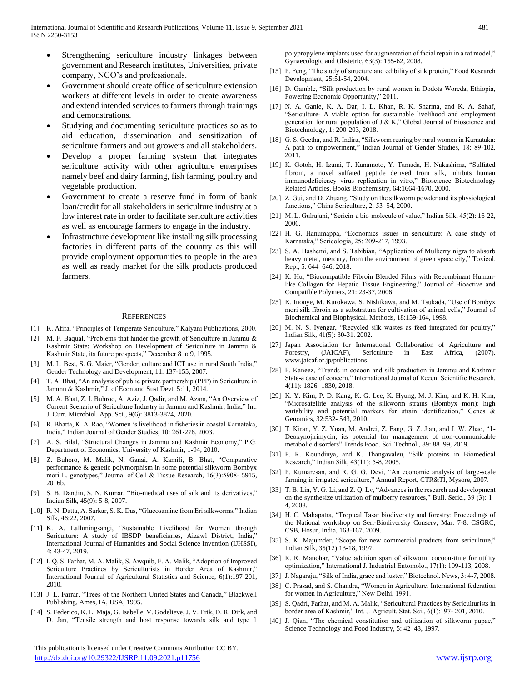- Strengthening sericulture industry linkages between government and Research institutes, Universities, private company, NGO's and professionals.
- Government should create office of sericulture extension workers at different levels in order to create awareness and extend intended services to farmers through trainings and demonstrations.
- Studying and documenting sericulture practices so as to aid education, dissemination and sensitization of sericulture farmers and out growers and all stakeholders.
- Develop a proper farming system that integrates sericulture activity with other agriculture enterprises namely beef and dairy farming, fish farming, poultry and vegetable production.
- Government to create a reserve fund in form of bank loan/credit for all stakeholders in sericulture industry at a low interest rate in order to facilitate sericulture activities as well as encourage farmers to engage in the industry.
- Infrastructure development like installing silk processing factories in different parts of the country as this will provide employment opportunities to people in the area as well as ready market for the silk products produced farmers.

#### **REFERENCES**

- [1] K. Afifa, "Principles of Temperate Sericulture," Kalyani Publications, 2000.
- [2] M. F. Baqual, "Problems that hinder the growth of Sericulture in Jammu & Kashmir State: Workshop on Development of Sericulture in Jammu & Kashmir State, its future prospects," December 8 to 9, 1995.
- [3] M. L. Best, S. G. Maier, "Gender, culture and ICT use in rural South India," Gender Technology and Development, 11: 137-155, 2007.
- [4] T. A. Bhat, "An analysis of public private partnership (PPP) in Sericulture in Jammu & Kashmir," J. of Econ and Sust Devt, 5:11, 2014.
- [5] M. A. Bhat, Z. I. Buhroo, A. Aziz, J. Qadir, and M. Azam, "An Overview of Current Scenario of Sericulture Industry in Jammu and Kashmir, India," Int. J. Curr. Microbiol. App. Sci., 9(6): 3813-3824, 2020.
- [6] R. Bhatta, K. A. Rao, "Women 's livelihood in fisheries in coastal Karnataka, India," Indian Journal of Gender Studies, 10: 261-278, 2003.
- [7] A. S. Bilal, "Structural Changes in Jammu and Kashmir Economy," P.G. Department of Economics, University of Kashmir, 1-94, 2010.
- [8] Z. Buhoro, M. Malik, N. Ganai, A. Kamili, B. Bhat, "Comparative performance & genetic polymorphism in some potential silkworm Bombyx mori L. genotypes," Journal of Cell & Tissue Research, 16(3):5908- 5915, 2016b.
- [9] S. B. Dandin, S. N. Kumar, "Bio-medical uses of silk and its derivatives," Indian Silk, 45(9): 5-8, 2007.
- [10] R. N. Datta, A. Sarkar, S. K. Das, "Glucosamine from Eri silkworms," Indian Silk, 46:22, 2007.
- [11] K. A. Lalhmingsangi, "Sustainable Livelihood for Women through Sericulture: A study of IBSDP beneficiaries, Aizawl District, India," International Journal of Humanities and Social Science Invention (IJHSSI), 4: 43-47, 2019.
- [12] I. Q. S. Farhat, M. A. Malik, S. Awquib, F. A. Malik, "Adoption of Improved Sericulture Practices by Sericulturists in Border Area of Kashmir," International Journal of Agricultural Statistics and Science, 6(1):197-201, 2010.
- [13] J. L. Farrar, "Trees of the Northern United States and Canada," Blackwell Publishing, Ames, IA, USA, 1995.
- [14] S. Federico, K. L. Maja, G. Isabelle, V. Godelieve, J. V. Erik, D. R. Dirk, and D. Jan, "Tensile strength and host response towards silk and type 1

 This publication is licensed under Creative Commons Attribution CC BY. <http://dx.doi.org/10.29322/IJSRP.11.09.2021.p11756> [www.ijsrp.org](http://ijsrp.org/)

polypropylene implants used for augmentation of facial repair in a rat model," Gynaecologic and Obstetric, 63(3): 155-62, 2008.

- [15] P. Feng, "The study of structure and edibility of silk protein," Food Research Development, 25:51-54, 2004.
- [16] D. Gamble, "Silk production by rural women in Dodota Woreda, Ethiopia, Powering Economic Opportunity," 2011.
- [17] N. A. Ganie, K. A. Dar, I. L. Khan, R. K. Sharma, and K. A. Sahaf, "Sericulture- A viable option for sustainable livelihood and employment generation for rural population of J & K," Global Journal of Bioscience and Biotechnology, 1: 200-203, 2018.
- [18] G. S. Geetha, and R. Indira, "Silkworm rearing by rural women in Karnataka: A path to empowerment," Indian Journal of Gender Studies, 18: 89-102, 2011.
- [19] K. Gotoh, H. Izumi, T. Kanamoto, Y. Tamada, H. Nakashima, "Sulfated fibroin, a novel sulfated peptide derived from silk, inhibits human immunodeficiency virus replication in vitro," Bioscience Biotechnology Related Articles, Books Biochemistry, 64:1664-1670, 2000.
- [20] Z. Gui, and D. Zhuang, "Study on the silkworm powder and its physiological functions," China Sericulture, 2: 53–54, 2000.
- [21] M. L. Gulrajani, "Sericin-a bio-molecule of value," Indian Silk, 45(2): 16-22, 2006.
- [22] H. G. Hanumappa, "Economics issues in sericulture: A case study of Karnataka," Sericologia, 25: 209-217, 1993.
- [23] S. A. Hashemi, and S. Tabibian, "Application of Mulberry nigra to absorb heavy metal, mercury, from the environment of green space city," Toxicol. Rep., 5: 644–646, 2018.
- [24] K. Hu, "Biocompatible Fibroin Blended Films with Recombinant Humanlike Collagen for Hepatic Tissue Engineering," Journal of Bioactive and Compatible Polymers, 21: 23-37, 2006.
- [25] K. Inouye, M. Kurokawa, S. Nishikawa, and M. Tsukada, "Use of Bombyx mori silk fibroin as a substratum for cultivation of animal cells," Journal of Biochemical and Biophysical. Methods, 18:159-164, 1998.
- [26] M. N. S. Iyengar, "Recycled silk wastes as feed integrated for poultry," Indian Silk, 41(5): 30-31. 2002.
- [27] Japan Association for International Collaboration of Agriculture and Forestry, (JAICAF), Sericulture in East Africa, (2007). www.jaicaf.or.jp/publications.
- [28] F. Kaneez, "Trends in cocoon and silk production in Jammu and Kashmir State-a case of concern," International Journal of Recent Scientific Research, 4(11): 1826- 1830, 2018.
- [29] K. Y. Kim, P. D. Kang, K. G. Lee, K. Hyung, M. J. Kim, and K. H. Kim, "Microsatellite analysis of the silkworm strains (Bombyx mori): high variability and potential markers for strain identification," Genes & Genomics, 32:532- 543, 2010.
- [30] T. Kiran, Y. Z. Yuan, M. Andrei, Z. Fang, G. Z. Jian, and J. W. Zhao, "1- Deoxynojirimycin, its potential for management of non-communicable metabolic disorders" Trends Food. Sci. Technol., 89: 88–99, 2019.
- [31] P. R. Koundinya, and K. Thangavaleu, "Silk proteins in Biomedical Research," Indian Silk, 43(11): 5-8, 2005.
- [32] P. Kumaresan, and R. G. G. Devi, "An economic analysis of large-scale farming in irrigated sericulture," Annual Report, CTR&TI, Mysore, 2007.
- [33] T. B. Lin, Y. G. Li, and Z. Q. Lv, "Advances in the research and development on the synthesize utilization of mulberry resources," Bull. Seric., 39 (3): 1– 4, 2008.
- [34] H. C. Mahapatra, "Tropical Tasar biodiversity and forestry: Proceedings of the National workshop on Seri-Biodiversity Conserv, Mar. 7-8. CSGRC, CSB, Hosur, India, 163-167, 2009.
- [35] S. K. Majumder, "Scope for new commercial products from sericulture," Indian Silk, 35(12):13-18, 1997.
- [36] R. R. Manohar, "Value addition span of silkworm cocoon-time for utility optimization," International J. Industrial Entomolo., 17(1): 109-113, 2008.
- [37] J. Nagaraju, "Silk of India, grace and luster," Biotechnol. News, 3: 4-7, 2008.
- [38] C. Prasad, and S. Chandra, "Women in Agriculture. International federation for women in Agriculture," New Delhi, 1991.
- [39] S. Qadri, Farhat, and M. A. Malik, "Sericultural Practices by Sericulturists in border area of Kashmir," Int. J. Agricult. Stat. Sci., 6(1):197- 201, 2010.
- [40] J. Qian, "The chemical constitution and utilization of silkworm pupae," Science Technology and Food Industry, 5: 42–43, 1997.